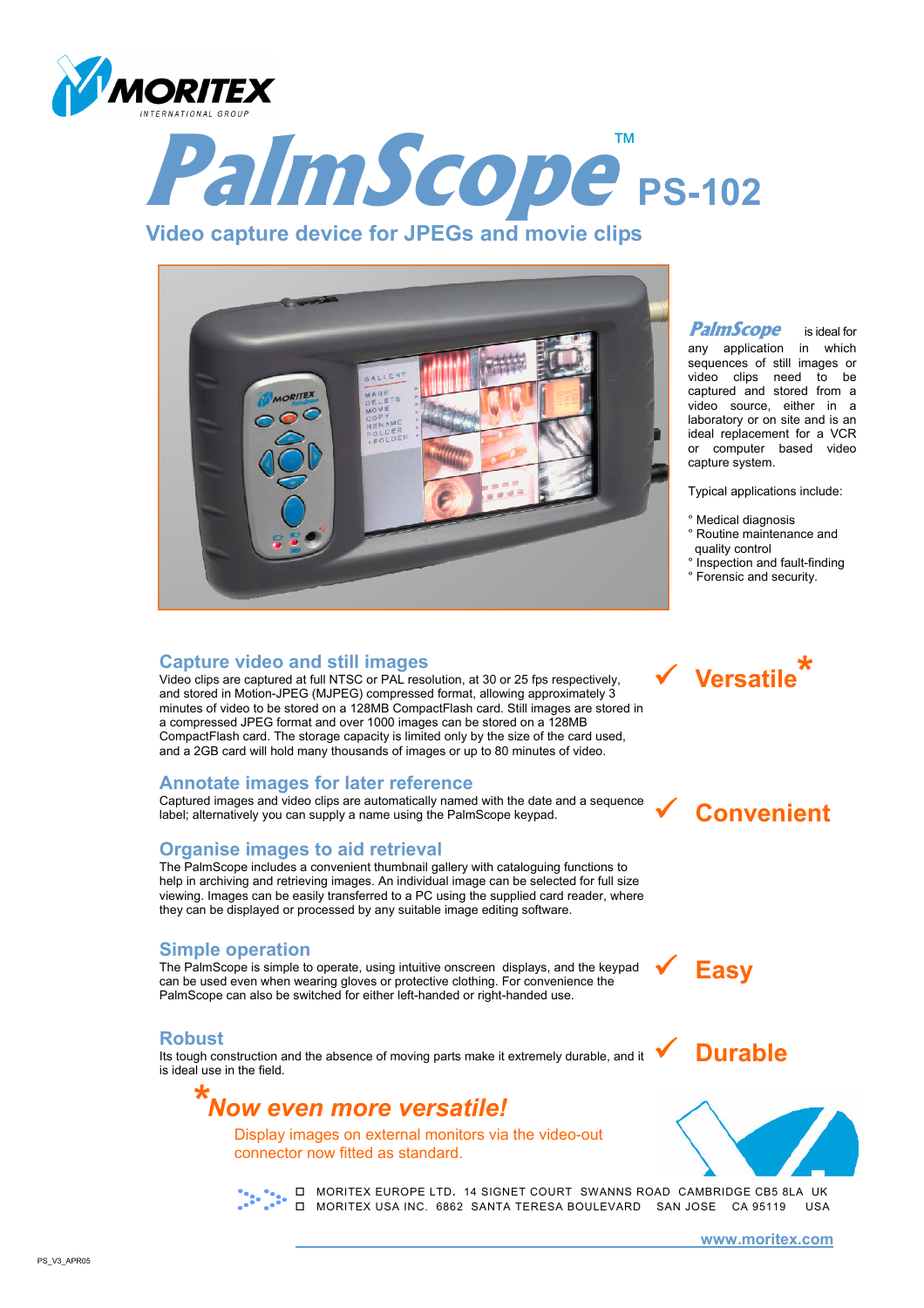



### **Video capture device for JPEGs and movie clips**



### **Capture video and still images**

Video clips are captured at full NTSC or PAL resolution, at 30 or 25 fps respectively, and stored in Motion-JPEG (MJPEG) compressed format, allowing approximately 3 minutes of video to be stored on a 128MB CompactFlash card. Still images are stored in a compressed JPEG format and over 1000 images can be stored on a 128MB CompactFlash card. The storage capacity is limited only by the size of the card used, and a 2GB card will hold many thousands of images or up to 80 minutes of video.

### **Annotate images for later reference**

Captured images and video clips are automatically named with the date and a sequence label; alternatively you can supply a name using the PalmScope keypad.

### **Organise images to aid retrieval**

The PalmScope includes a convenient thumbnail gallery with cataloguing functions to help in archiving and retrieving images. An individual image can be selected for full size viewing. Images can be easily transferred to a PC using the supplied card reader, where they can be displayed or processed by any suitable image editing software.

### **Simple operation**

The PalmScope is simple to operate, using intuitive onscreen displays, and the keypad can be used even when wearing gloves or protective clothing. For convenience the PalmScope can also be switched for either left-handed or right-handed use.

#### **Robust**

Its tough construction and the absence of moving parts make it extremely durable, and it is ideal use in the field.



Display images on external monitors via the video-out connector now fitted as standard.



**MORITEX EUROPE LTD. 14 SIGNET COURT SWANNS ROAD CAMBRIDGE CB5 8LA UK** MORITEX USA INC. 6862 SANTA TERESA BOULEVARD SAN JOSE CA 95119 USA

**PalmScope** is ideal for any application in which sequences of still images or video clips need to be captured and stored from a video source, either in a laboratory or on site and is an ideal replacement for a VCR or computer based video capture system.

Typical applications include:

- ° Medical diagnosis
- ° Routine maintenance and

9 **Versatile\*** 

- quality control
- ° Inspection and fault-finding ° Forensic and security.





9 **Durable**